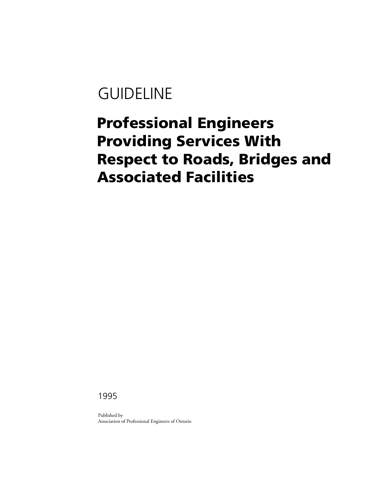# GUIDELINE

# **Professional Engineers Providing Services With Respect to Roads, Bridges and Associated Facilities**

1995

Published by Association of Professional Engineers of Ontario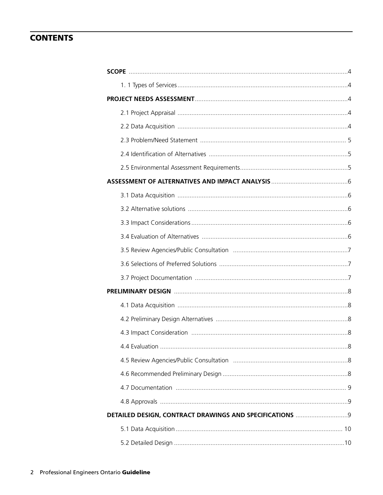# **CONTENTS**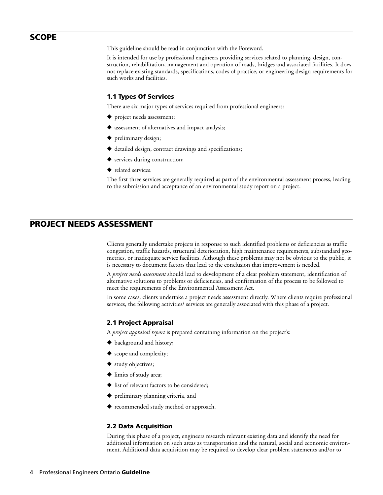# **SCOPE**

This guideline should be read in conjunction with the Foreword.

It is intended for use by professional engineers providing services related to planning, design, construction, rehabilitation, management and operation of roads, bridges and associated facilities. It does not replace existing standards, specifications, codes of practice, or engineering design requirements for such works and facilities.

## **1.1 Types Of Services**

There are six major types of services required from professional engineers:

- ◆ project needs assessment;
- ◆ assessment of alternatives and impact analysis;
- **◆** preliminary design;
- **◆** detailed design, contract drawings and specifications;
- **◆** services during construction;
- **◆** related services.

The first three services are generally required as part of the environmental assessment process, leading to the submission and acceptance of an environmental study report on a project.

# **PROJECT NEEDS ASSESSMENT**

Clients generally undertake projects in response to such identified problems or deficiencies as traffic congestion, traffic hazards, structural deterioration, high maintenance requirements, substandard geometrics, or inadequate service facilities. Although these problems may not be obvious to the public, it is necessary to document factors that lead to the conclusion that improvement is needed.

A *project needs assessment* should lead to development of a clear problem statement, identification of alternative solutions to problems or deficiencies, and confirmation of the process to be followed to meet the requirements of the Environmental Assessment Act.

In some cases, clients undertake a project needs assessment directly. Where clients require professional services, the following activities/ services are generally associated with this phase of a project.

#### **2.1 Project Appraisal**

A *project appraisal report* is prepared containing information on the project's:

- **◆** background and history;
- **◆** scope and complexity;
- **◆** study objectives;
- **◆** limits of study area;
- **◆** list of relevant factors to be considered;
- **◆** preliminary planning criteria, and
- **◆** recommended study method or approach.

#### **2.2 Data Acquisition**

During this phase of a project, engineers research relevant existing data and identify the need for additional information on such areas as transportation and the natural, social and economic environment. Additional data acquisition may be required to develop clear problem statements and/or to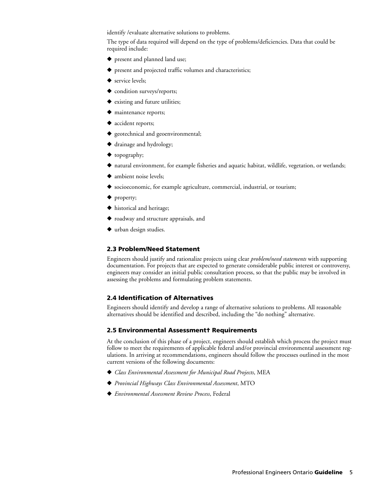identify /evaluate alternative solutions to problems.

The type of data required will depend on the type of problems/deficiencies. Data that could be required include:

- **◆** present and planned land use;
- **◆** present and projected traffic volumes and characteristics;
- **◆** service levels;
- ◆ condition surveys/reports;
- **◆** existing and future utilities;
- **◆** maintenance reports;
- **◆** accident reports;
- **◆** geotechnical and geoenvironmental;
- **◆** drainage and hydrology;
- **◆** topography;
- ◆ natural environment, for example fisheries and aquatic habitat, wildlife, vegetation, or wetlands;
- **◆** ambient noise levels;
- ◆ socioeconomic, for example agriculture, commercial, industrial, or tourism;
- **◆** property;
- **◆** historical and heritage;
- **◆** roadway and structure appraisals, and
- **◆** urban design studies.

#### **2.3 Problem/Need Statement**

Engineers should justify and rationalize projects using clear *problem/need statements* with supporting documentation. For projects that are expected to generate considerable public interest or controversy, engineers may consider an initial public consultation process, so that the public may be involved in assessing the problems and formulating problem statements.

## **2.4 Identification of Alternatives**

Engineers should identify and develop a range of alternative solutions to problems. All reasonable alternatives should be identified and described, including the "do nothing" alternative.

#### **2.5 Environmental Assessment† Requirements**

At the conclusion of this phase of a project, engineers should establish which process the project must follow to meet the requirements of applicable federal and/or provincial environmental assessment regulations. In arriving at recommendations, engineers should follow the processes outlined in the most current versions of the following documents:

- **◆** *Class Environmental Assessment for Municipal Road Projects*, MEA
- **◆** *Provincial Highways Class Environmental Assessment*, MTO
- **◆** *Environmental Assessment Review Process*, Federal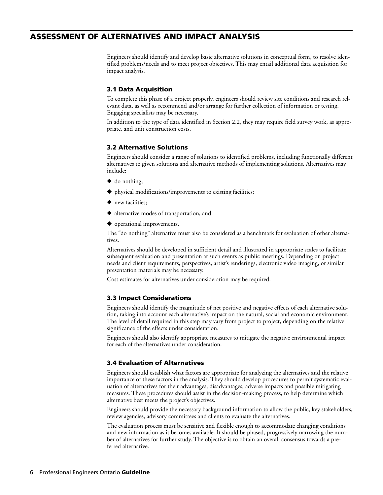# **ASSESSMENT OF ALTERNATIVES AND IMPACT ANALYSIS**

Engineers should identify and develop basic alternative solutions in conceptual form, to resolve identified problems/needs and to meet project objectives. This may entail additional data acquisition for impact analysis.

# **3.1 Data Acquisition**

To complete this phase of a project properly, engineers should review site conditions and research relevant data, as well as recommend and/or arrange for further collection of information or testing. Engaging specialists may be necessary.

In addition to the type of data identified in Section 2.2, they may require field survey work, as appropriate, and unit construction costs.

## **3.2 Alternative Solutions**

Engineers should consider a range of solutions to identified problems, including functionally different alternatives to given solutions and alternative methods of implementing solutions. Alternatives may include:

- **◆** do nothing;
- **◆** physical modifications/improvements to existing facilities;
- **◆** new facilities;
- **◆** alternative modes of transportation, and
- **◆** operational improvements.

The "do nothing" alternative must also be considered as a benchmark for evaluation of other alternatives.

Alternatives should be developed in sufficient detail and illustrated in appropriate scales to facilitate subsequent evaluation and presentation at such events as public meetings. Depending on project needs and client requirements, perspectives, artist's renderings, electronic video imaging, or similar presentation materials may be necessary.

Cost estimates for alternatives under consideration may be required.

#### **3.3 Impact Considerations**

Engineers should identify the magnitude of net positive and negative effects of each alternative solution, taking into account each alternative's impact on the natural, social and economic environment. The level of detail required in this step may vary from project to project, depending on the relative significance of the effects under consideration.

Engineers should also identify appropriate measures to mitigate the negative environmental impact for each of the alternatives under consideration.

#### **3.4 Evaluation of Alternatives**

Engineers should establish what factors are appropriate for analyzing the alternatives and the relative importance of these factors in the analysis. They should develop procedures to permit systematic evaluation of alternatives for their advantages, disadvantages, adverse impacts and possible mitigating measures. These procedures should assist in the decision-making process, to help determine which alternative best meets the project's objectives.

Engineers should provide the necessary background information to allow the public, key stakeholders, review agencies, advisory committees and clients to evaluate the alternatives.

The evaluation process must be sensitive and flexible enough to accommodate changing conditions and new information as it becomes available. It should be phased, progressively narrowing the number of alternatives for further study. The objective is to obtain an overall consensus towards a preferred alternative.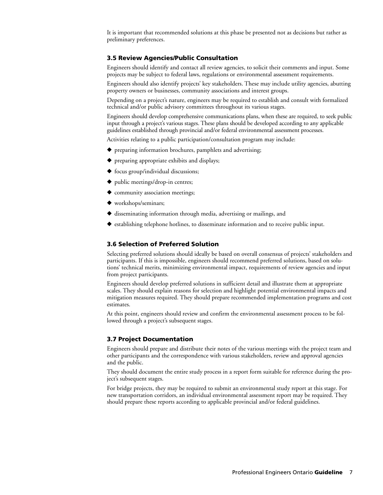It is important that recommended solutions at this phase be presented not as decisions but rather as preliminary preferences.

## **3.5 Review Agencies/Public Consultation**

Engineers should identify and contact all review agencies, to solicit their comments and input. Some projects may be subject to federal laws, regulations or environmental assessment requirements.

Engineers should also identify projects' key stakeholders. These may include utility agencies, abutting property owners or businesses, community associations and interest groups.

Depending on a project's nature, engineers may be required to establish and consult with formalized technical and/or public advisory committees throughout its various stages.

Engineers should develop comprehensive communications plans, when these are required, to seek public input through a project's various stages. These plans should be developed according to any applicable guidelines established through provincial and/or federal environmental assessment processes.

Activities relating to a public participation/consultation program may include:

- **◆** preparing information brochures, pamphlets and advertising;
- **◆** preparing appropriate exhibits and displays;
- **◆** focus group/individual discussions;
- **◆** public meetings/drop-in centres;
- ◆ community association meetings;
- **◆** workshops/seminars;
- **◆** disseminating information through media, advertising or mailings, and
- **◆** establishing telephone hotlines, to disseminate information and to receive public input.

## **3.6 Selection of Preferred Solution**

Selecting preferred solutions should ideally be based on overall consensus of projects' stakeholders and participants. If this is impossible, engineers should recommend preferred solutions, based on solutions' technical merits, minimizing environmental impact, requirements of review agencies and input from project participants.

Engineers should develop preferred solutions in sufficient detail and illustrate them at appropriate scales. They should explain reasons for selection and highlight potential environmental impacts and mitigation measures required. They should prepare recommended implementation programs and cost estimates.

At this point, engineers should review and confirm the environmental assessment process to be followed through a project's subsequent stages.

#### **3.7 Project Documentation**

Engineers should prepare and distribute their notes of the various meetings with the project team and other participants and the correspondence with various stakeholders, review and approval agencies and the public.

They should document the entire study process in a report form suitable for reference during the project's subsequent stages.

For bridge projects, they may be required to submit an environmental study report at this stage. For new transportation corridors, an individual environmental assessment report may be required. They should prepare these reports according to applicable provincial and/or federal guidelines.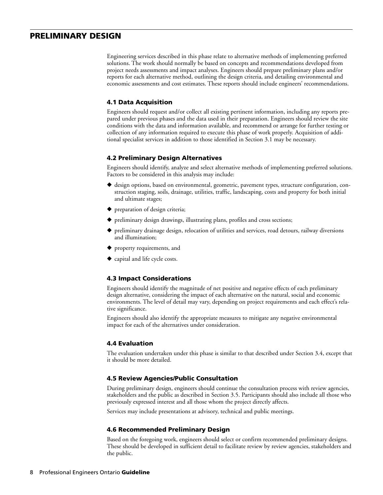# **PRELIMINARY DESIGN**

Engineering services described in this phase relate to alternative methods of implementing preferred solutions. The work should normally be based on concepts and recommendations developed from project needs assessments and impact analyses. Engineers should prepare preliminary plans and/or reports for each alternative method, outlining the design criteria, and detailing environmental and economic assessments and cost estimates. These reports should include engineers' recommendations.

## **4.1 Data Acquisition**

Engineers should request and/or collect all existing pertinent information, including any reports prepared under previous phases and the data used in their preparation. Engineers should review the site conditions with the data and information available, and recommend or arrange for further testing or collection of any information required to execute this phase of work properly. Acquisition of additional specialist services in addition to those identified in Section 3.1 may be necessary.

#### **4.2 Preliminary Design Alternatives**

Engineers should identify, analyze and select alternative methods of implementing preferred solutions. Factors to be considered in this analysis may include:

- ◆ design options, based on environmental, geometric, pavement types, structure configuration, construction staging, soils, drainage, utilities, traffic, landscaping, costs and property for both initial and ultimate stages;
- **◆** preparation of design criteria;
- **◆** preliminary design drawings, illustrating plans, profiles and cross sections;
- **◆** preliminary drainage design, relocation of utilities and services, road detours, railway diversions and illumination;
- **◆** property requirements, and
- **◆** capital and life cycle costs.

#### **4.3 Impact Considerations**

Engineers should identify the magnitude of net positive and negative effects of each preliminary design alternative, considering the impact of each alternative on the natural, social and economic environments. The level of detail may vary, depending on project requirements and each effect's relative significance.

Engineers should also identify the appropriate measures to mitigate any negative environmental impact for each of the alternatives under consideration.

#### **4.4 Evaluation**

The evaluation undertaken under this phase is similar to that described under Section 3.4, except that it should be more detailed.

#### **4.5 Review Agencies/Public Consultation**

During preliminary design, engineers should continue the consultation process with review agencies, stakeholders and the public as described in Section 3.5. Participants should also include all those who previously expressed interest and all those whom the project directly affects.

Services may include presentations at advisory, technical and public meetings.

#### **4.6 Recommended Preliminary Design**

Based on the foregoing work, engineers should select or confirm recommended preliminary designs. These should be developed in sufficient detail to facilitate review by review agencies, stakeholders and the public.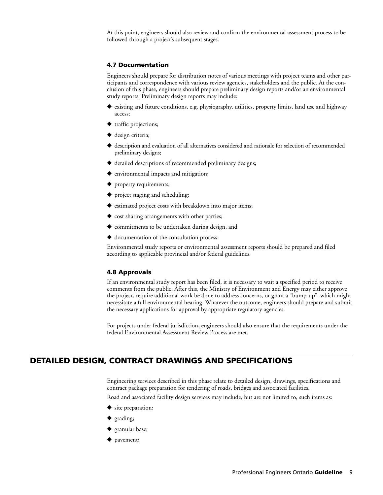At this point, engineers should also review and confirm the environmental assessment process to be followed through a project's subsequent stages.

#### **4.7 Documentation**

Engineers should prepare for distribution notes of various meetings with project teams and other participants and correspondence with various review agencies, stakeholders and the public. At the conclusion of this phase, engineers should prepare preliminary design reports and/or an environmental study reports. Preliminary design reports may include:

- ◆ existing and future conditions, e.g. physiography, utilities, property limits, land use and highway access;
- **◆** traffic projections;
- **◆** design criteria;
- ◆ description and evaluation of all alternatives considered and rationale for selection of recommended preliminary designs;
- **◆** detailed descriptions of recommended preliminary designs;
- **◆** environmental impacts and mitigation;
- **◆** property requirements;
- **◆** project staging and scheduling;
- **◆** estimated project costs with breakdown into major items;
- **◆** cost sharing arrangements with other parties;
- **◆** commitments to be undertaken during design, and
- **◆** documentation of the consultation process.

Environmental study reports or environmental assessment reports should be prepared and filed according to applicable provincial and/or federal guidelines.

#### **4.8 Approvals**

If an environmental study report has been filed, it is necessary to wait a specified period to receive comments from the public. After this, the Ministry of Environment and Energy may either approve the project, require additional work be done to address concerns, or grant a "bump-up", which might necessitate a full environmental hearing. Whatever the outcome, engineers should prepare and submit the necessary applications for approval by appropriate regulatory agencies.

For projects under federal jurisdiction, engineers should also ensure that the requirements under the federal Environmental Assessment Review Process are met.

# **DETAILED DESIGN, CONTRACT DRAWINGS AND SPECIFICATIONS**

Engineering services described in this phase relate to detailed design, drawings, specifications and contract package preparation for tendering of roads, bridges and associated facilities.

Road and associated facility design services may include, but are not limited to, such items as:

- **◆** site preparation;
- **◆** grading;
- **◆** granular base;
- **◆** pavement;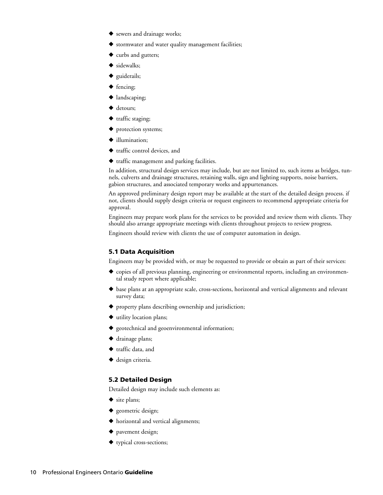- **◆** sewers and drainage works;
- **◆** stormwater and water quality management facilities;
- ◆ curbs and gutters;
- **◆** sidewalks;
- **◆** guiderails;
- **◆** fencing;
- **◆** landscaping;
- **◆** detours;
- **◆** traffic staging;
- ◆ protection systems;
- **◆** illumination;
- **◆** traffic control devices, and
- **◆** traffic management and parking facilities.

In addition, structural design services may include, but are not limited to, such items as bridges, tunnels, culverts and drainage structures, retaining walls, sign and lighting supports, noise barriers, gabion structures, and associated temporary works and appurtenances.

An approved preliminary design report may be available at the start of the detailed design process. if not, clients should supply design criteria or request engineers to recommend appropriate criteria for approval.

Engineers may prepare work plans for the services to be provided and review them with clients. They should also arrange appropriate meetings with clients throughout projects to review progress.

Engineers should review with clients the use of computer automation in design.

#### **5.1 Data Acquisition**

Engineers may be provided with, or may be requested to provide or obtain as part of their services:

- ◆ copies of all previous planning, engineering or environmental reports, including an environmental study report where applicable;
- ◆ base plans at an appropriate scale, cross-sections, horizontal and vertical alignments and relevant survey data;
- **◆** property plans describing ownership and jurisdiction;
- **◆** utility location plans;
- **◆** geotechnical and geoenvironmental information;
- **◆** drainage plans;
- **◆** traffic data, and
- **◆** design criteria.

#### **5.2 Detailed Design**

Detailed design may include such elements as:

- **◆** site plans;
- **◆** geometric design;
- **◆** horizontal and vertical alignments;
- **◆** pavement design;
- **◆** typical cross-sections;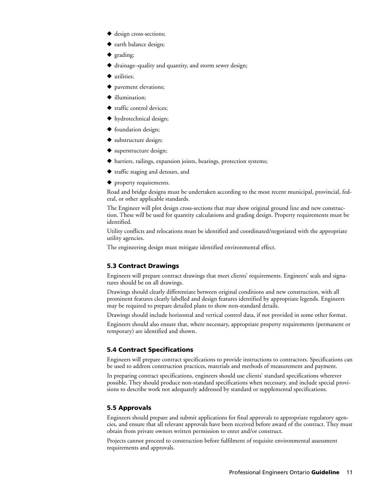- **◆** design cross-sections;
- **◆** earth balance design;
- **◆** grading;
- **◆** drainage–quality and quantity, and storm sewer design;
- **◆** utilities;
- **◆** pavement elevations;
- **◆** illumination;
- **◆** traffic control devices;
- **◆** hydrotechnical design;
- **◆** foundation design;
- **◆** substructure design;
- **◆** superstructure design;
- ◆ barriers, railings, expansion joints, bearings, protection systems;
- **◆** traffic staging and detours, and
- **◆** property requirements.

Road and bridge designs must be undertaken according to the most recent municipal, provincial, federal, or other applicable standards.

The Engineer will plot design cross-sections that may show original ground line and new construction. These will be used for quantity calculations and grading design. Property requirements must be identified.

Utility conflicts and relocations must be identified and coordinated/negotiated with the appropriate utility agencies.

The engineering design must mitigate identified environmental effect.

# **5.3 Contract Drawings**

Engineers will prepare contract drawings that meet clients' requirements. Engineers' seals and signatures should be on all drawings.

Drawings should clearly differentiate between original conditions and new construction, with all prominent features clearly labelled and design features identified by appropriate legends. Engineers may be required to prepare detailed plans to show non-standard details.

Drawings should include horizontal and vertical control data, if not provided in some other format.

Engineers should also ensure that, where necessary, appropriate property requirements (permanent or temporary) are identified and shown.

## **5.4 Contract Specifications**

Engineers will prepare contract specifications to provide instructions to contractors. Specifications can be used to address construction practices, materials and methods of measurement and payment.

In preparing contract specifications, engineers should use clients' standard specifications wherever possible. They should produce non-standard specifications when necessary, and include special provisions to describe work not adequately addressed by standard or supplemental specifications.

#### **5.5 Approvals**

Engineers should prepare and submit applications for final approvals to appropriate regulatory agencies, and ensure that all relevant approvals have been received before award of the contract. They must obtain from private owners written permission to enter and/or construct.

Projects cannot proceed to construction before fulfilment of requisite environmental assessment requirements and approvals.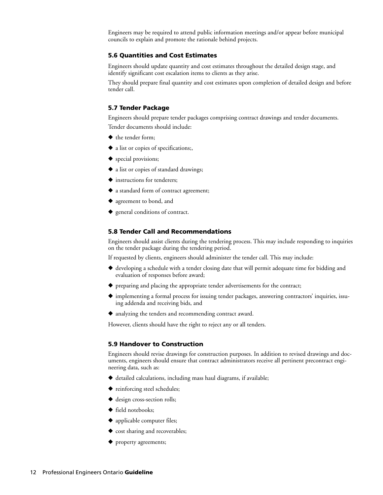Engineers may be required to attend public information meetings and/or appear before municipal councils to explain and promote the rationale behind projects.

#### **5.6 Quantities and Cost Estimates**

Engineers should update quantity and cost estimates throughout the detailed design stage, and identify significant cost escalation items to clients as they arise.

They should prepare final quantity and cost estimates upon completion of detailed design and before tender call.

#### **5.7 Tender Package**

Engineers should prepare tender packages comprising contract drawings and tender documents. Tender documents should include:

- **◆** the tender form;
- **◆** a list or copies of specifications;,
- **◆** special provisions;
- **◆** a list or copies of standard drawings;
- **◆** instructions for tenderers;
- ◆ a standard form of contract agreement;
- **◆** agreement to bond, and
- ◆ general conditions of contract.

## **5.8 Tender Call and Recommendations**

Engineers should assist clients during the tendering process. This may include responding to inquiries on the tender package during the tendering period.

If requested by clients, engineers should administer the tender call. This may include:

- **◆** developing a schedule with a tender closing date that will permit adequate time for bidding and evaluation of responses before award;
- **◆** preparing and placing the appropriate tender advertisements for the contract;
- **◆** implementing a formal process for issuing tender packages, answering contractors' inquiries, issuing addenda and receiving bids, and
- **◆** analyzing the tenders and recommending contract award.

However, clients should have the right to reject any or all tenders.

## **5.9 Handover to Construction**

Engineers should revise drawings for construction purposes. In addition to revised drawings and documents, engineers should ensure that contract administrators receive all pertinent precontract engineering data, such as:

- **◆** detailed calculations, including mass haul diagrams, if available;
- **◆** reinforcing steel schedules;
- ◆ design cross-section rolls;
- **◆** field notebooks;
- **◆** applicable computer files;
- ◆ cost sharing and recoverables;
- **◆** property agreements;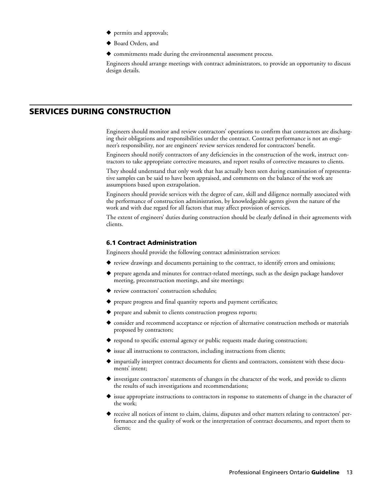- **◆** permits and approvals;
- **◆** Board Orders, and
- **◆** commitments made during the environmental assessment process.

Engineers should arrange meetings with contract administrators, to provide an opportunity to discuss design details.

# **SERVICES DURING CONSTRUCTION**

Engineers should monitor and review contractors' operations to confirm that contractors are discharging their obligations and responsibilities under the contract. Contract performance is not an engineer's responsibility, nor are engineers' review services rendered for contractors' benefit.

Engineers should notify contractors of any deficiencies in the construction of the work, instruct contractors to take appropriate corrective measures, and report results of corrective measures to clients.

They should understand that only work that has actually been seen during examination of representative samples can be said to have been appraised, and comments on the balance of the work are assumptions based upon extrapolation.

Engineers should provide services with the degree of care, skill and diligence normally associated with the performance of construction administration, by knowledgeable agents given the nature of the work and with due regard for all factors that may affect provision of services.

The extent of engineers' duties during construction should be clearly defined in their agreements with clients.

#### **6.1 Contract Administration**

Engineers should provide the following contract administration services:

- ◆ review drawings and documents pertaining to the contract, to identify errors and omissions;
- ◆ prepare agenda and minutes for contract-related meetings, such as the design package handover meeting, preconstruction meetings, and site meetings;
- ◆ review contractors' construction schedules;
- **◆** prepare progress and final quantity reports and payment certificates;
- **◆** prepare and submit to clients construction progress reports;
- ◆ consider and recommend acceptance or rejection of alternative construction methods or materials proposed by contractors;
- **◆** respond to specific external agency or public requests made during construction;
- ◆ issue all instructions to contractors, including instructions from clients;
- ◆ impartially interpret contract documents for clients and contractors, consistent with these documents' intent;
- ◆ investigate contractors' statements of changes in the character of the work, and provide to clients the results of such investigations and recommendations;
- ◆ issue appropriate instructions to contractors in response to statements of change in the character of the work;
- **◆** receive all notices of intent to claim, claims, disputes and other matters relating to contractors' performance and the quality of work or the interpretation of contract documents, and report them to clients;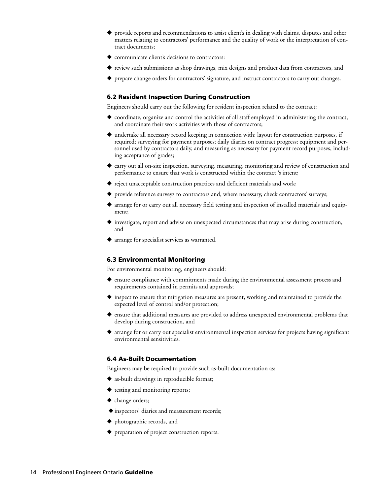- **◆** provide reports and recommendations to assist client's in dealing with claims, disputes and other matters relating to contractors' performance and the quality of work or the interpretation of contract documents;
- ◆ communicate client's decisions to contractors:
- ◆ review such submissions as shop drawings, mix designs and product data from contractors, and
- prepare change orders for contractors' signature, and instruct contractors to carry out changes.

## **6.2 Resident Inspection During Construction**

Engineers should carry out the following for resident inspection related to the contract:

- ◆ coordinate, organize and control the activities of all staff employed in administering the contract, and coordinate their work activities with those of contractors;
- ◆ undertake all necessary record keeping in connection with: layout for construction purposes, if required; surveying for payment purposes; daily diaries on contract progress; equipment and personnel used by contractors daily, and measuring as necessary for payment record purposes, including acceptance of grades;
- ◆ carry out all on-site inspection, surveying, measuring, monitoring and review of construction and performance to ensure that work is constructed within the contract 's intent;
- **◆** reject unacceptable construction practices and deficient materials and work;
- ◆ provide reference surveys to contractors and, where necessary, check contractors' surveys;
- ◆ arrange for or carry out all necessary field testing and inspection of installed materials and equipment;
- **◆** investigate, report and advise on unexpected circumstances that may arise during construction, and
- **◆** arrange for specialist services as warranted.

#### **6.3 Environmental Monitoring**

For environmental monitoring, engineers should:

- ◆ ensure compliance with commitments made during the environmental assessment process and requirements contained in permits and approvals;
- ◆ inspect to ensure that mitigation measures are present, working and maintained to provide the expected level of control and/or protection;
- **◆** ensure that additional measures are provided to address unexpected environmental problems that develop during construction, and
- ◆ arrange for or carry out specialist environmental inspection services for projects having significant environmental sensitivities.

# **6.4 As-Built Documentation**

Engineers may be required to provide such as-built documentation as:

- **◆** as-built drawings in reproducible format;
- **◆** testing and monitoring reports;
- **◆** change orders;
- ◆ inspectors' diaries and measurement records;
- **◆** photographic records, and
- **◆** preparation of project construction reports.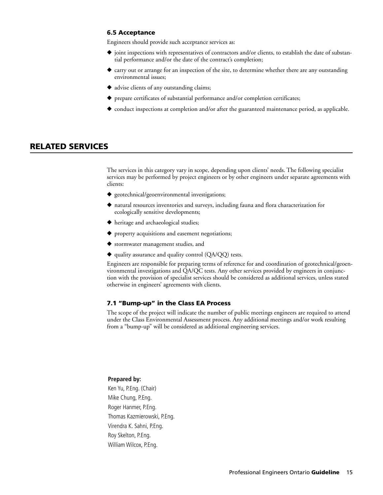### **6.5 Acceptance**

Engineers should provide such acceptance services as:

- **◆** joint inspections with representatives of contractors and/or clients, to establish the date of substantial performance and/or the date of the contract's completion;
- ◆ carry out or arrange for an inspection of the site, to determine whether there are any outstanding environmental issues;
- **◆** advise clients of any outstanding claims;
- **◆** prepare certificates of substantial performance and/or completion certificates;
- ◆ conduct inspections at completion and/or after the guaranteed maintenance period, as applicable.

# **RELATED SERVICES**

The services in this category vary in scope, depending upon clients' needs. The following specialist services may be performed by project engineers or by other engineers under separate agreements with clients:

- ◆ geotechnical/geoenvironmental investigations;
- ◆ natural resources inventories and surveys, including fauna and flora characterization for ecologically sensitive developments;
- **◆** heritage and archaeological studies;
- **◆** property acquisitions and easement negotiations;
- **◆** stormwater management studies, and
- **◆** quality assurance and quality control (QA/QQ) tests.

Engineers are responsible for preparing terms of reference for and coordination of geotechnical/geoenvironmental investigations and QA/QC tests. Any other services provided by engineers in conjunction with the provision of specialist services should be considered as additional services, unless stated otherwise in engineers' agreements with clients.

## **7.1 "Bump-up" in the Class EA Process**

The scope of the project will indicate the number of public meetings engineers are required to attend under the Class Environmental Assessment process. Any additional meetings and/or work resulting from a "bump-up" will be considered as additional engineering services.

#### **Prepared by:**

Ken Yu, P.Eng. (Chair) Mike Chung, P.Eng. Roger Hanmer, P.Eng. Thomas Kazmierowski, P.Eng. Virendra K. Sahni, P.Eng. Roy Skelton, P.Eng. William Wilcox, P.Eng.